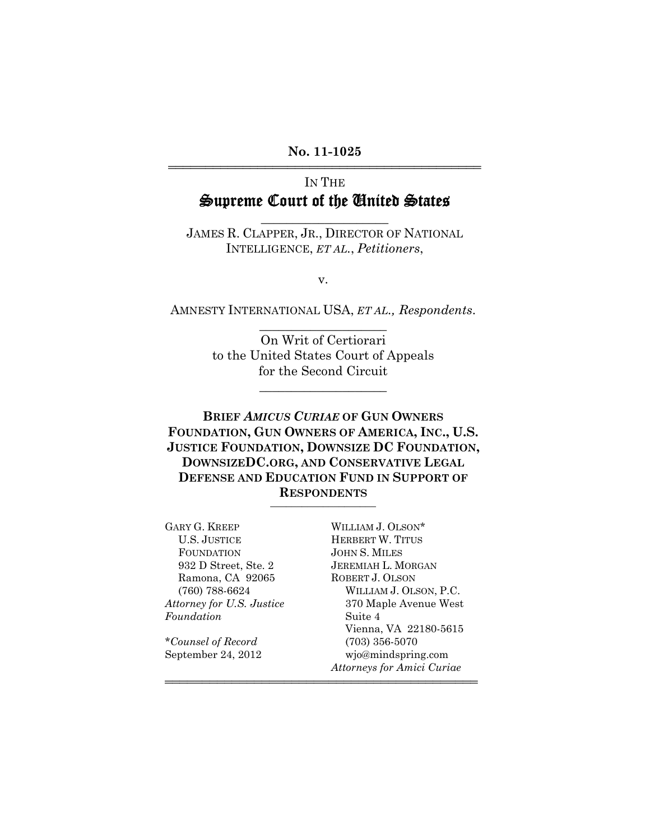**No. 11-1025** 444444444444444444444444444444444444444444

# IN THE Supreme Court of the United States

JAMES R. CLAPPER, JR., DIRECTOR OF NATIONAL INTELLIGENCE, *ET AL.*, *Petitioners*,

 $\overline{\phantom{a}}$  , where  $\overline{\phantom{a}}$  , where  $\overline{\phantom{a}}$ 

v.

AMNESTY INTERNATIONAL USA, *ET AL., Respondents*.  $\overline{\phantom{a}}$  , where  $\overline{\phantom{a}}$  , where  $\overline{\phantom{a}}$ 

> On Writ of Certiorari to the United States Court of Appeals for the Second Circuit

> > \_\_\_\_\_\_\_\_\_\_\_\_\_\_\_\_\_\_\_\_

**BRIEF** *AMICUS CURIAE* **OF GUN OWNERS FOUNDATION, GUN OWNERS OF AMERICA, INC., U.S. JUSTICE FOUNDATION, DOWNSIZE DC FOUNDATION, DOWNSIZEDC.ORG, AND CONSERVATIVE LEGAL DEFENSE AND EDUCATION FUND IN SUPPORT OF RESPONDENTS** \_\_\_\_\_\_\_\_\_\_\_\_\_\_\_\_\_\_\_\_

444444444444444444444444444444444444444444

GARY G. KREEP WILLIAM J. OLSON\*<br>U.S. JUSTICE HERBERT W. TITUS FOUNDATION JOHN S. MILES Ramona, CA 92065 *Foundation* Suite 4

\**Counsel of Record* (703) 356-5070

HERBERT W. TITUS 932 D Street, Ste. 2 JEREMIAH L. MORGAN<br>Ramona, CA 92065 ROBERT J. OLSON (760) 788-6624 WILLIAM J. OLSON, P.C. *Attorney for U.S. Justice* 370 Maple Avenue West Vienna, VA 22180-5615 September 24, 2012 wjo@mindspring.com *Attorneys for Amici Curiae*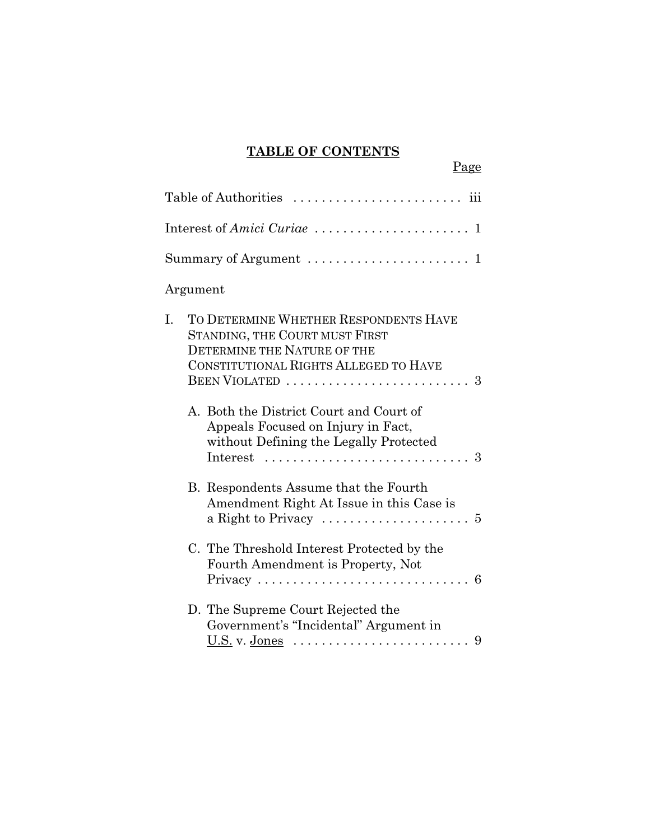# **TABLE OF CONTENTS**

| Page                                                                                                                                                         |
|--------------------------------------------------------------------------------------------------------------------------------------------------------------|
|                                                                                                                                                              |
|                                                                                                                                                              |
| Summary of Argument $\dots\dots\dots\dots\dots\dots\dots\dots$                                                                                               |
| Argument                                                                                                                                                     |
| I.<br>TO DETERMINE WHETHER RESPONDENTS HAVE<br>STANDING, THE COURT MUST FIRST<br><b>DETERMINE THE NATURE OF THE</b><br>CONSTITUTIONAL RIGHTS ALLEGED TO HAVE |
| A. Both the District Court and Court of<br>Appeals Focused on Injury in Fact,<br>without Defining the Legally Protected                                      |
| B. Respondents Assume that the Fourth<br>Amendment Right At Issue in this Case is<br>a Right to Privacy $\dots \dots \dots \dots \dots \dots \dots$          |
| C. The Threshold Interest Protected by the<br>Fourth Amendment is Property, Not<br>Privacy<br>6                                                              |
| D. The Supreme Court Rejected the<br>Government's "Incidental" Argument in                                                                                   |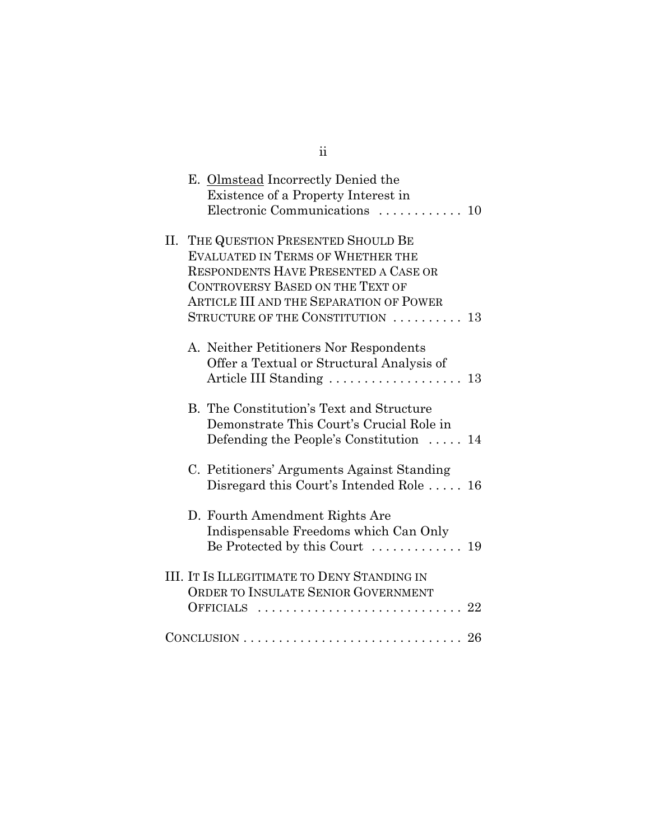|  | E. Olmstead Incorrectly Denied the<br>Existence of a Property Interest in<br>Electronic Communications  10                                                                                                                                                 |
|--|------------------------------------------------------------------------------------------------------------------------------------------------------------------------------------------------------------------------------------------------------------|
|  | II. THE QUESTION PRESENTED SHOULD BE<br><b>EVALUATED IN TERMS OF WHETHER THE</b><br><b>RESPONDENTS HAVE PRESENTED A CASE OR</b><br><b>CONTROVERSY BASED ON THE TEXT OF</b><br>ARTICLE III AND THE SEPARATION OF POWER<br>STRUCTURE OF THE CONSTITUTION  13 |
|  | A. Neither Petitioners Nor Respondents<br>Offer a Textual or Structural Analysis of<br>Article III Standing  13                                                                                                                                            |
|  | B. The Constitution's Text and Structure<br>Demonstrate This Court's Crucial Role in<br>Defending the People's Constitution $\ldots$ .<br>14                                                                                                               |
|  | C. Petitioners' Arguments Against Standing<br>Disregard this Court's Intended Role  16                                                                                                                                                                     |
|  | D. Fourth Amendment Rights Are<br>Indispensable Freedoms which Can Only<br>Be Protected by this Court  19                                                                                                                                                  |
|  | <b>III. IT IS ILLEGITIMATE TO DENY STANDING IN</b><br>ORDER TO INSULATE SENIOR GOVERNMENT<br>22<br>OFFICIALS<br>. <b>.</b> .                                                                                                                               |
|  | $CONCLUSION \ldots \ldots \ldots \ldots \ldots \ldots \ldots \ldots \ldots \quad 26$                                                                                                                                                                       |

ii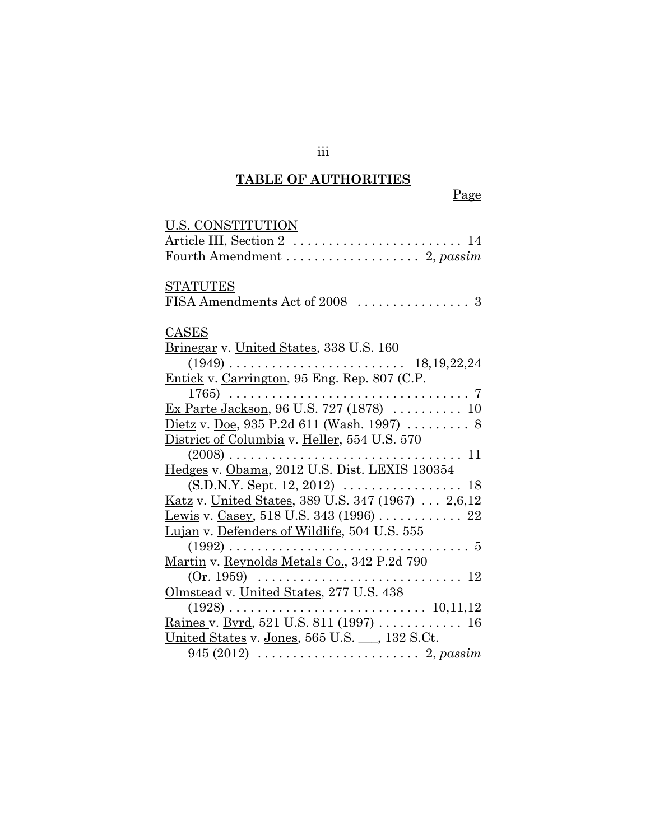# **TABLE OF AUTHORITIES**

| <u>U.S. CONSTITUTION</u>                                          |
|-------------------------------------------------------------------|
|                                                                   |
|                                                                   |
| <b>STATUTES</b>                                                   |
|                                                                   |
| CASES                                                             |
| Brinegar v. United States, 338 U.S. 160                           |
| 18, 19, 22, 24                                                    |
| Entick v. Carrington, 95 Eng. Rep. 807 (C.P.                      |
|                                                                   |
| Ex Parte Jackson, 96 U.S. 727 (1878)  10                          |
| <u>Dietz</u> v. <u>Doe</u> , 935 P.2d 611 (Wash. 1997)  8         |
| District of Columbia v. Heller, 554 U.S. 570                      |
|                                                                   |
| Hedges v. Obama, 2012 U.S. Dist. LEXIS 130354                     |
| $(S.D.N.Y. Sept. 12, 2012) \ldots \ldots \ldots \ldots \ldots 18$ |
| Katz v. United States, 389 U.S. 347 (1967) 2,6,12                 |
| <u>Lewis</u> v. Casey, 518 U.S. 343 (1996) 22                     |
| <u>Lujan</u> v. <u>Defenders of Wildlife</u> , 504 U.S. 555       |
|                                                                   |
| Martin v. Reynolds Metals Co., 342 P.2d 790                       |
|                                                                   |
| Olmstead v. United States, 277 U.S. 438                           |
|                                                                   |
| <u>Raines v. Byrd, 521 U.S. 811 (1997)</u> 16                     |
| United States v. Jones, 565 U.S. __, 132 S.Ct.                    |
|                                                                   |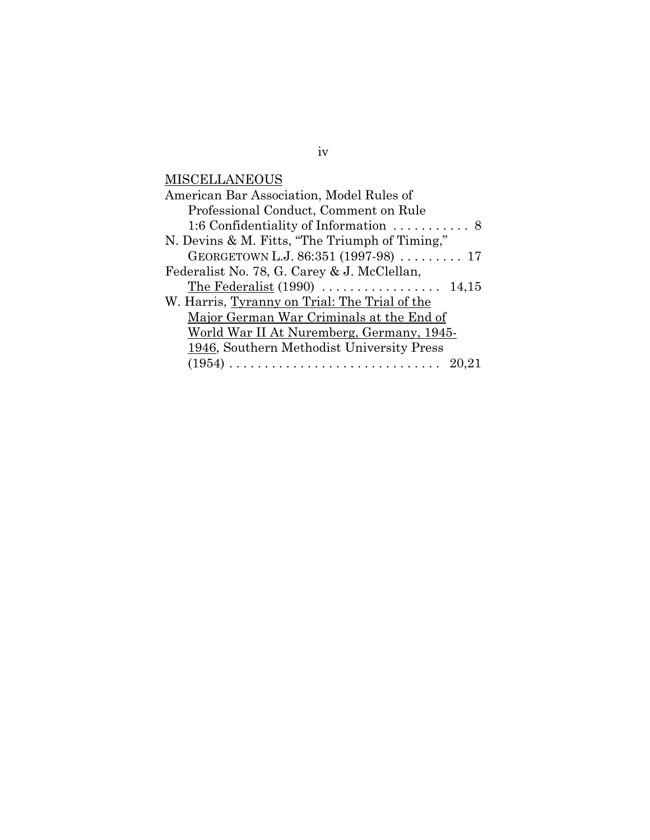**MISCELLANEOUS** 

| American Bar Association, Model Rules of               |  |  |
|--------------------------------------------------------|--|--|
| Professional Conduct, Comment on Rule                  |  |  |
| 1:6 Confidentiality of Information $\dots\dots\dots 8$ |  |  |
| N. Devins & M. Fitts, "The Triumph of Timing,"         |  |  |
| GEORGETOWN L.J. 86:351 (1997-98)  17                   |  |  |
| Federalist No. 78, G. Carey & J. McClellan,            |  |  |
| The Federalist $(1990)$<br>14,15                       |  |  |
| W. Harris, Tyranny on Trial: The Trial of the          |  |  |
| Major German War Criminals at the End of               |  |  |
| World War II At Nuremberg, Germany, 1945-              |  |  |
| 1946, Southern Methodist University Press              |  |  |
| 20,21                                                  |  |  |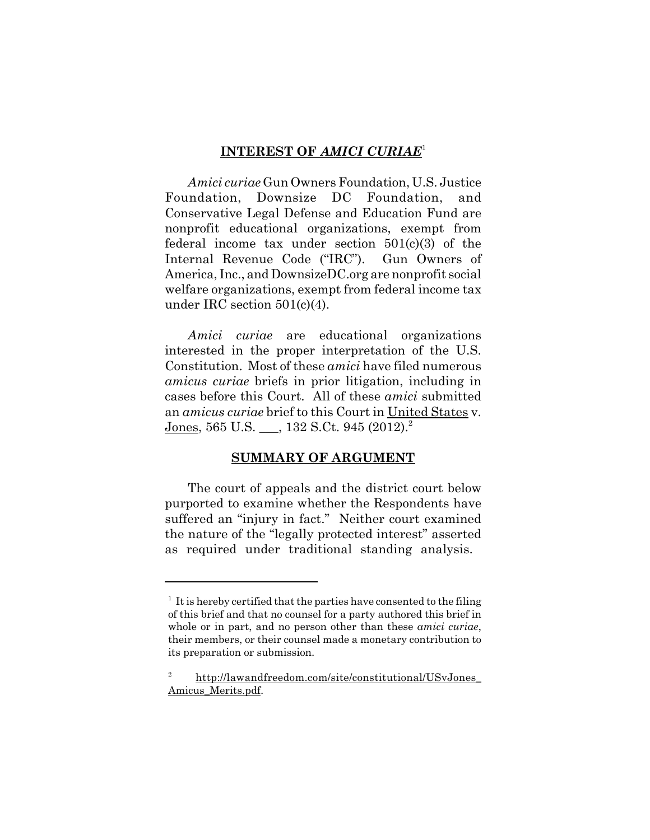#### **INTEREST OF** *AMICI CURIAE*<sup>1</sup>

*Amici curiae* Gun Owners Foundation, U.S. Justice Foundation, Downsize DC Foundation, and Conservative Legal Defense and Education Fund are nonprofit educational organizations, exempt from federal income tax under section 501(c)(3) of the Internal Revenue Code ("IRC"). Gun Owners of America, Inc., and DownsizeDC.org are nonprofit social welfare organizations, exempt from federal income tax under IRC section 501(c)(4).

*Amici curiae* are educational organizations interested in the proper interpretation of the U.S. Constitution. Most of these *amici* have filed numerous *amicus curiae* briefs in prior litigation, including in cases before this Court. All of these *amici* submitted an *amicus curiae* brief to this Court in United States v. Jones, 565 U.S. \_\_, 132 S.Ct. 945  $(2012)^2$ 

#### **SUMMARY OF ARGUMENT**

The court of appeals and the district court below purported to examine whether the Respondents have suffered an "injury in fact." Neither court examined the nature of the "legally protected interest" asserted as required under traditional standing analysis.

 $<sup>1</sup>$  It is hereby certified that the parties have consented to the filing</sup> of this brief and that no counsel for a party authored this brief in whole or in part, and no person other than these *amici curiae*, their members, or their counsel made a monetary contribution to its preparation or submission.

<sup>2</sup> http://lawandfreedom.com/site/constitutional/USvJones\_ Amicus\_Merits.pdf.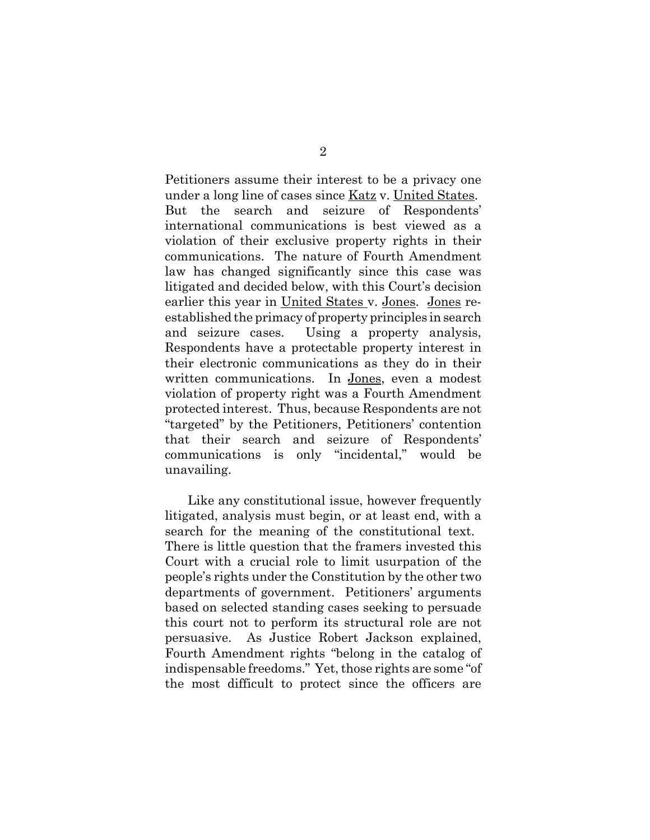Petitioners assume their interest to be a privacy one under a long line of cases since Katz v. United States. But the search and seizure of Respondents' international communications is best viewed as a violation of their exclusive property rights in their communications. The nature of Fourth Amendment law has changed significantly since this case was litigated and decided below, with this Court's decision earlier this year in United States v. Jones. Jones reestablished the primacy of property principles in search and seizure cases. Using a property analysis, Respondents have a protectable property interest in their electronic communications as they do in their written communications. In Jones, even a modest violation of property right was a Fourth Amendment protected interest. Thus, because Respondents are not "targeted" by the Petitioners, Petitioners' contention that their search and seizure of Respondents' communications is only "incidental," would be unavailing.

Like any constitutional issue, however frequently litigated, analysis must begin, or at least end, with a search for the meaning of the constitutional text. There is little question that the framers invested this Court with a crucial role to limit usurpation of the people's rights under the Constitution by the other two departments of government. Petitioners' arguments based on selected standing cases seeking to persuade this court not to perform its structural role are not persuasive. As Justice Robert Jackson explained, Fourth Amendment rights "belong in the catalog of indispensable freedoms." Yet, those rights are some "of the most difficult to protect since the officers are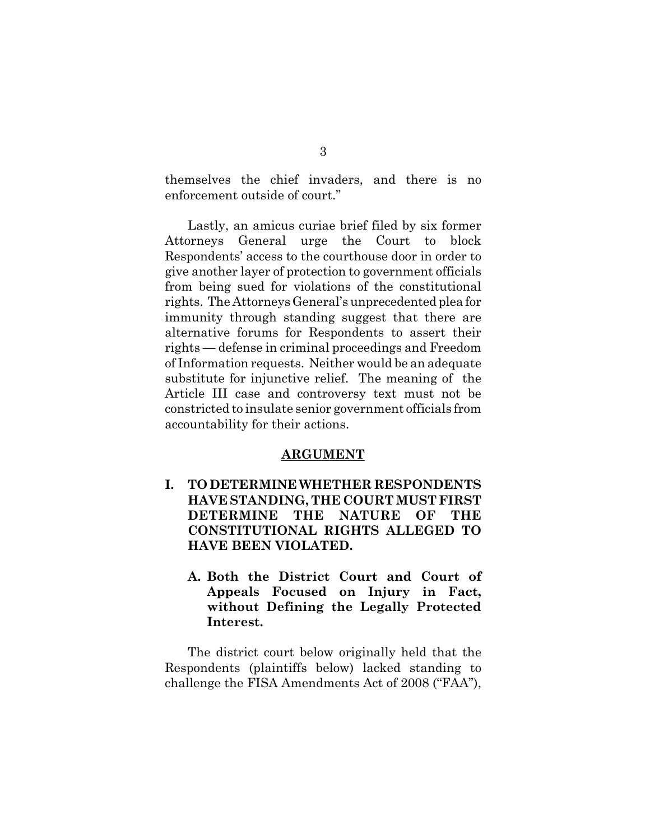themselves the chief invaders, and there is no enforcement outside of court."

Lastly, an amicus curiae brief filed by six former Attorneys General urge the Court to block Respondents' access to the courthouse door in order to give another layer of protection to government officials from being sued for violations of the constitutional rights. The Attorneys General's unprecedented plea for immunity through standing suggest that there are alternative forums for Respondents to assert their rights — defense in criminal proceedings and Freedom of Information requests. Neither would be an adequate substitute for injunctive relief. The meaning of the Article III case and controversy text must not be constricted to insulate senior government officials from accountability for their actions.

#### **ARGUMENT**

- **I. TO DETERMINE WHETHER RESPONDENTS HAVE STANDING, THE COURT MUST FIRST DETERMINE THE NATURE OF THE CONSTITUTIONAL RIGHTS ALLEGED TO HAVE BEEN VIOLATED.**
	- **A. Both the District Court and Court of Appeals Focused on Injury in Fact, without Defining the Legally Protected Interest.**

The district court below originally held that the Respondents (plaintiffs below) lacked standing to challenge the FISA Amendments Act of 2008 ("FAA"),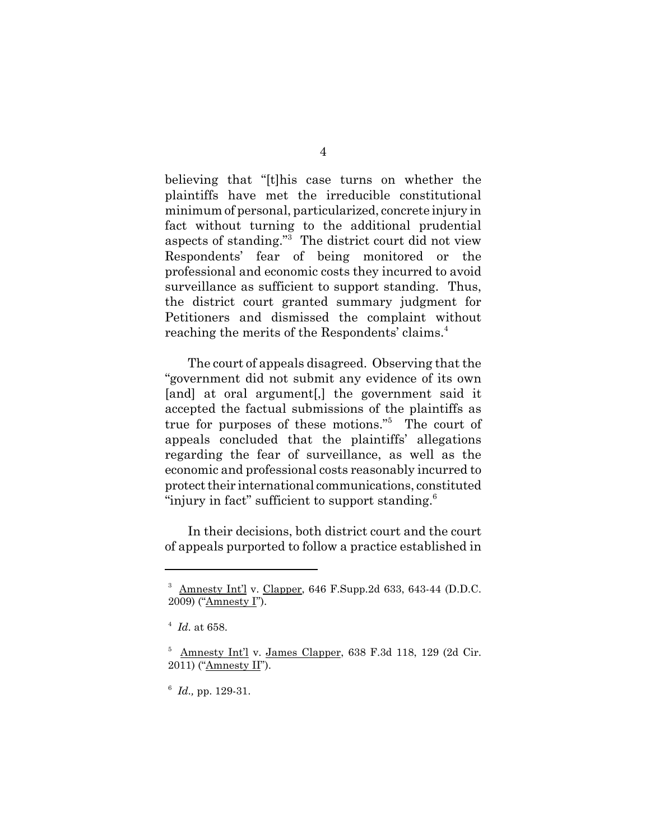believing that "[t]his case turns on whether the plaintiffs have met the irreducible constitutional minimum of personal, particularized, concrete injury in fact without turning to the additional prudential aspects of standing."3 The district court did not view Respondents' fear of being monitored or the professional and economic costs they incurred to avoid surveillance as sufficient to support standing. Thus, the district court granted summary judgment for Petitioners and dismissed the complaint without reaching the merits of the Respondents' claims.<sup>4</sup>

The court of appeals disagreed. Observing that the "government did not submit any evidence of its own [and] at oral argument[,] the government said it accepted the factual submissions of the plaintiffs as true for purposes of these motions."5 The court of appeals concluded that the plaintiffs' allegations regarding the fear of surveillance, as well as the economic and professional costs reasonably incurred to protect their international communications, constituted "injury in fact" sufficient to support standing. $6$ 

In their decisions, both district court and the court of appeals purported to follow a practice established in

 $3$  Amnesty Int'l v. Clapper, 646 F.Supp.2d 633, 643-44 (D.D.C. 2009) ("Amnesty I").

<sup>4</sup> *Id.* at 658.

 $5$  Amnesty Int'l v. James Clapper, 638 F.3d 118, 129 (2d Cir. 2011) ("Amnesty II").

<sup>6</sup> *Id.,* pp. 129-31.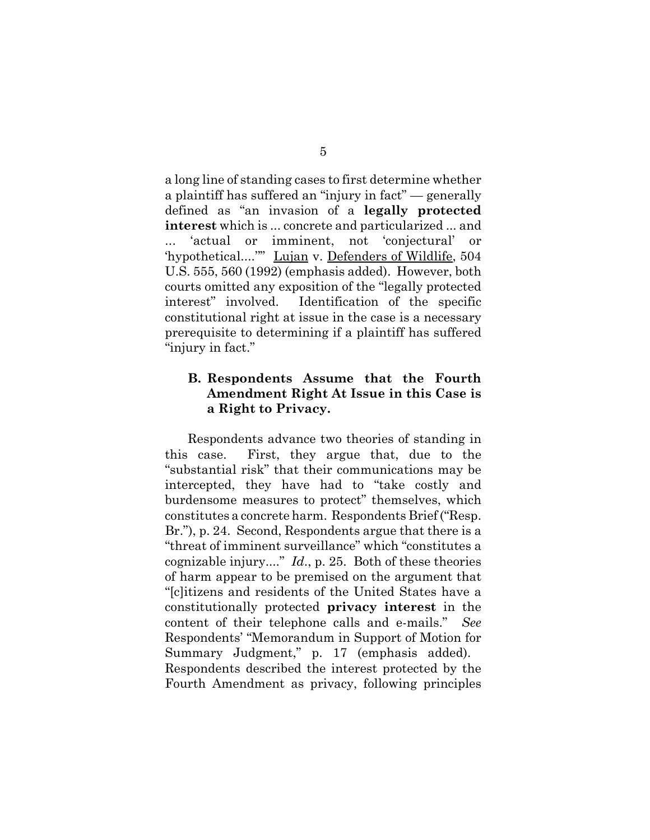a long line of standing cases to first determine whether a plaintiff has suffered an "injury in fact" — generally defined as "an invasion of a **legally protected interest** which is ... concrete and particularized ... and ... 'actual or imminent, not 'conjectural' or 'hypothetical....''" Lujan v. Defenders of Wildlife, 504 U.S. 555, 560 (1992) (emphasis added). However, both courts omitted any exposition of the "legally protected interest" involved. Identification of the specific constitutional right at issue in the case is a necessary prerequisite to determining if a plaintiff has suffered "injury in fact."

### **B. Respondents Assume that the Fourth Amendment Right At Issue in this Case is a Right to Privacy.**

Respondents advance two theories of standing in this case. First, they argue that, due to the "substantial risk" that their communications may be intercepted, they have had to "take costly and burdensome measures to protect" themselves, which constitutes a concrete harm. Respondents Brief ("Resp. Br."), p. 24. Second, Respondents argue that there is a "threat of imminent surveillance" which "constitutes a cognizable injury...." *Id*., p. 25. Both of these theories of harm appear to be premised on the argument that "[c]itizens and residents of the United States have a constitutionally protected **privacy interest** in the content of their telephone calls and e-mails." *See* Respondents' "Memorandum in Support of Motion for Summary Judgment," p. 17 (emphasis added). Respondents described the interest protected by the Fourth Amendment as privacy, following principles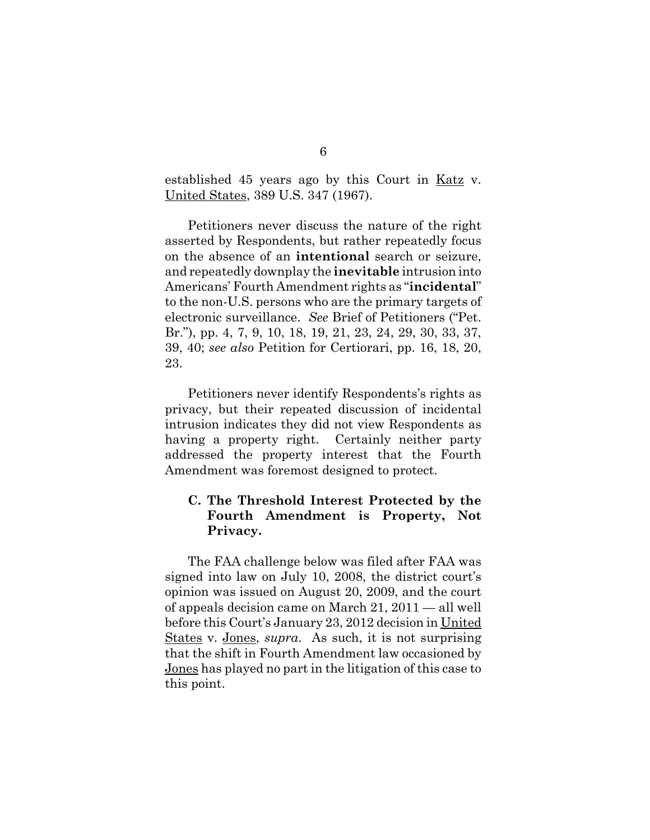established 45 years ago by this Court in Katz v. United States, 389 U.S. 347 (1967).

Petitioners never discuss the nature of the right asserted by Respondents, but rather repeatedly focus on the absence of an **intentional** search or seizure, and repeatedly downplay the **inevitable** intrusion into Americans' Fourth Amendment rights as "**incidental**" to the non-U.S. persons who are the primary targets of electronic surveillance. *See* Brief of Petitioners ("Pet. Br."), pp. 4, 7, 9, 10, 18, 19, 21, 23, 24, 29, 30, 33, 37, 39, 40; *see also* Petition for Certiorari, pp. 16, 18, 20, 23.

Petitioners never identify Respondents's rights as privacy, but their repeated discussion of incidental intrusion indicates they did not view Respondents as having a property right. Certainly neither party addressed the property interest that the Fourth Amendment was foremost designed to protect.

#### **C. The Threshold Interest Protected by the Fourth Amendment is Property, Not Privacy.**

The FAA challenge below was filed after FAA was signed into law on July 10, 2008, the district court's opinion was issued on August 20, 2009, and the court of appeals decision came on March 21, 2011 — all well before this Court's January 23, 2012 decision in United States v. Jones, *supra*. As such, it is not surprising that the shift in Fourth Amendment law occasioned by Jones has played no part in the litigation of this case to this point.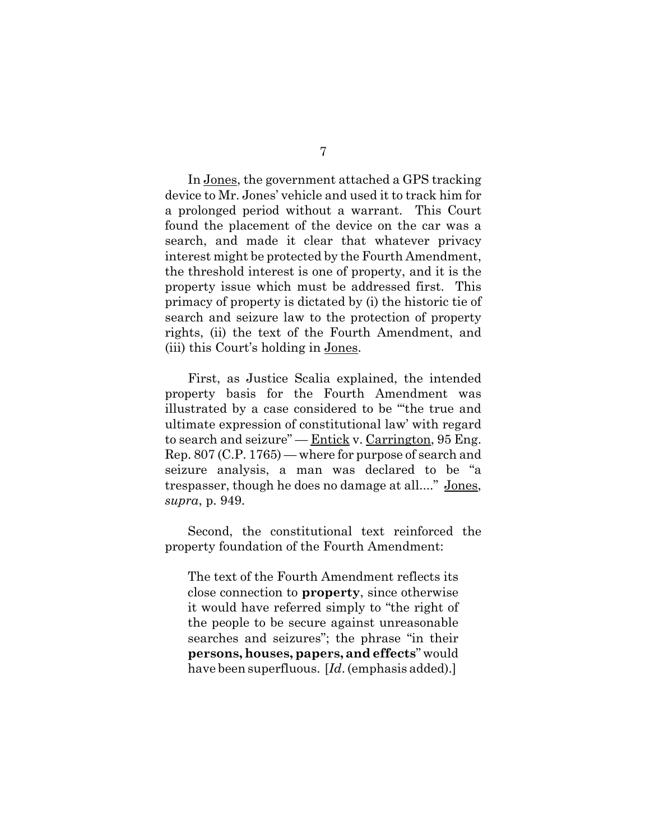In Jones, the government attached a GPS tracking device to Mr. Jones' vehicle and used it to track him for a prolonged period without a warrant. This Court found the placement of the device on the car was a

search, and made it clear that whatever privacy interest might be protected by the Fourth Amendment, the threshold interest is one of property, and it is the property issue which must be addressed first. This primacy of property is dictated by (i) the historic tie of search and seizure law to the protection of property rights, (ii) the text of the Fourth Amendment, and (iii) this Court's holding in Jones.

First, as Justice Scalia explained, the intended property basis for the Fourth Amendment was illustrated by a case considered to be "'the true and ultimate expression of constitutional law' with regard to search and seizure" —  $Entick v. Carrington, 95 Eng.$ </u> Rep. 807 (C.P. 1765) — where for purpose of search and seizure analysis, a man was declared to be "a trespasser, though he does no damage at all...." Jones, *supra*, p. 949.

Second, the constitutional text reinforced the property foundation of the Fourth Amendment:

The text of the Fourth Amendment reflects its close connection to **property**, since otherwise it would have referred simply to "the right of the people to be secure against unreasonable searches and seizures"; the phrase "in their **persons, houses, papers, and effects**" would have been superfluous. [*Id*. (emphasis added).]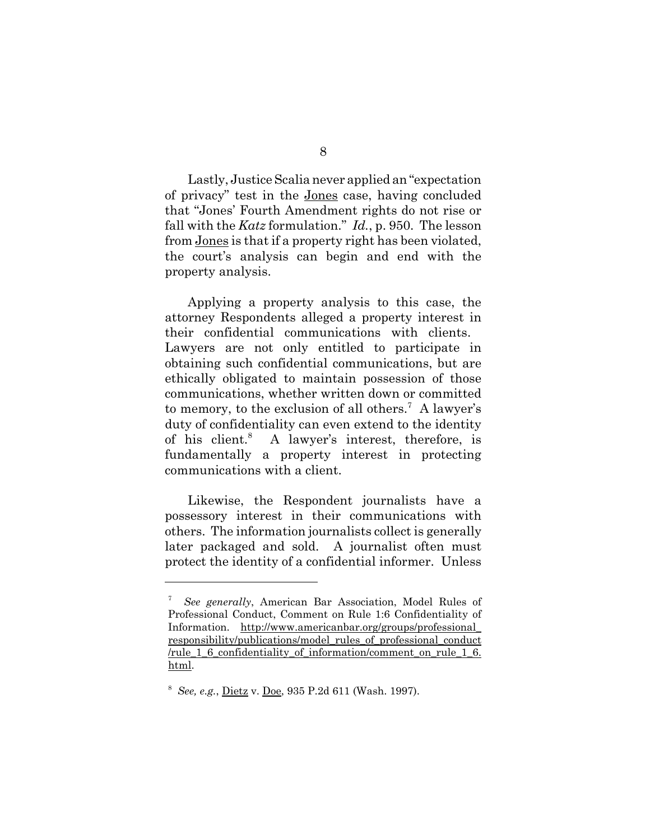Lastly, Justice Scalia never applied an "expectation of privacy" test in the Jones case, having concluded that "Jones' Fourth Amendment rights do not rise or fall with the *Katz* formulation." *Id.*, p. 950. The lesson from Jones is that if a property right has been violated, the court's analysis can begin and end with the property analysis.

Applying a property analysis to this case, the attorney Respondents alleged a property interest in their confidential communications with clients. Lawyers are not only entitled to participate in obtaining such confidential communications, but are ethically obligated to maintain possession of those communications, whether written down or committed to memory, to the exclusion of all others.<sup>7</sup> A lawyer's duty of confidentiality can even extend to the identity of his client.<sup>8</sup> A lawyer's interest, therefore, is fundamentally a property interest in protecting communications with a client.

Likewise, the Respondent journalists have a possessory interest in their communications with others. The information journalists collect is generally later packaged and sold. A journalist often must protect the identity of a confidential informer. Unless

<sup>7</sup> *See generally*, American Bar Association, Model Rules of Professional Conduct, Comment on Rule 1:6 Confidentiality of Information. http://www.americanbar.org/groups/professional\_ responsibility/publications/model\_rules\_of\_professional\_conduct /rule\_1\_6\_confidentiality\_of\_information/comment\_on\_rule\_1\_6. html.

<sup>8</sup> *See, e.g.*, Dietz v. Doe, 935 P.2d 611 (Wash. 1997).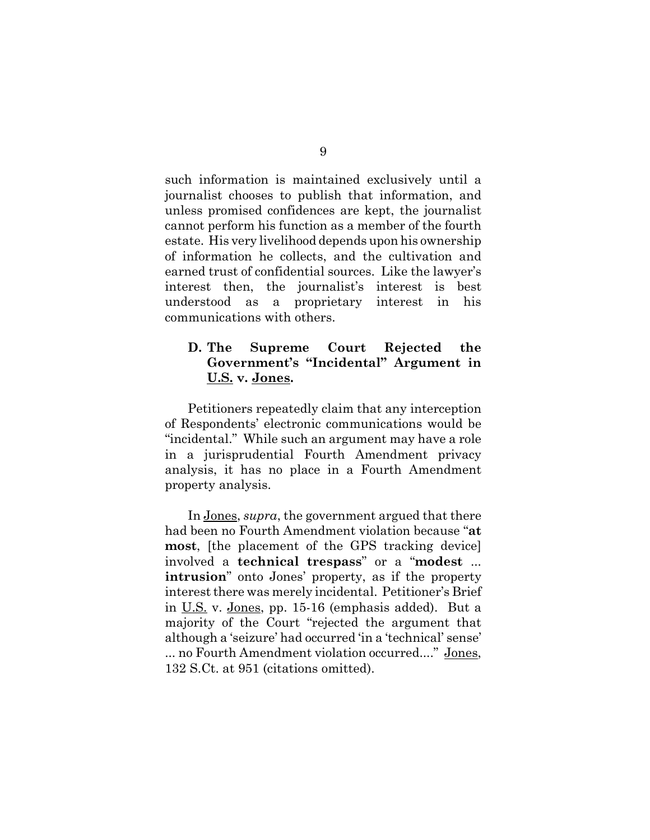such information is maintained exclusively until a journalist chooses to publish that information, and unless promised confidences are kept, the journalist cannot perform his function as a member of the fourth estate. His very livelihood depends upon his ownership of information he collects, and the cultivation and earned trust of confidential sources. Like the lawyer's interest then, the journalist's interest is best understood as a proprietary interest in his communications with others.

## **D. The Supreme Court Rejected the Government's "Incidental" Argument in U.S. v. Jones.**

Petitioners repeatedly claim that any interception of Respondents' electronic communications would be "incidental." While such an argument may have a role in a jurisprudential Fourth Amendment privacy analysis, it has no place in a Fourth Amendment property analysis.

In Jones, *supra*, the government argued that there had been no Fourth Amendment violation because "**at most**, [the placement of the GPS tracking device] involved a **technical trespass**" or a "**modest** ... **intrusion**" onto Jones' property, as if the property interest there was merely incidental. Petitioner's Brief in U.S. v. Jones, pp. 15-16 (emphasis added). But a majority of the Court "rejected the argument that although a 'seizure' had occurred 'in a 'technical' sense' ... no Fourth Amendment violation occurred...." Jones, 132 S.Ct. at 951 (citations omitted).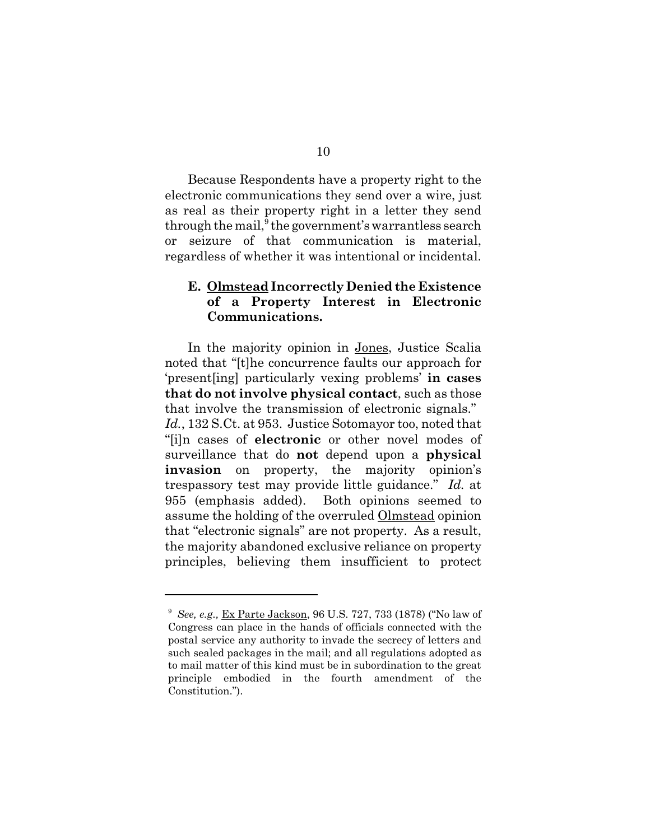Because Respondents have a property right to the electronic communications they send over a wire, just as real as their property right in a letter they send through the mail, $9$  the government's warrantless search or seizure of that communication is material, regardless of whether it was intentional or incidental.

### **E. Olmstead Incorrectly Denied the Existence of a Property Interest in Electronic Communications.**

In the majority opinion in Jones, Justice Scalia noted that "[t]he concurrence faults our approach for 'present[ing] particularly vexing problems' **in cases that do not involve physical contact**, such as those that involve the transmission of electronic signals." *Id.*, 132 S.Ct. at 953. Justice Sotomayor too, noted that "[i]n cases of **electronic** or other novel modes of surveillance that do **not** depend upon a **physical invasion** on property, the majority opinion's trespassory test may provide little guidance." *Id.* at 955 (emphasis added). Both opinions seemed to assume the holding of the overruled Olmstead opinion that "electronic signals" are not property. As a result, the majority abandoned exclusive reliance on property principles, believing them insufficient to protect

<sup>&</sup>lt;sup>9</sup> See, e.g., Ex Parte Jackson, 96 U.S. 727, 733 (1878) ("No law of Congress can place in the hands of officials connected with the postal service any authority to invade the secrecy of letters and such sealed packages in the mail; and all regulations adopted as to mail matter of this kind must be in subordination to the great principle embodied in the fourth amendment of the Constitution.").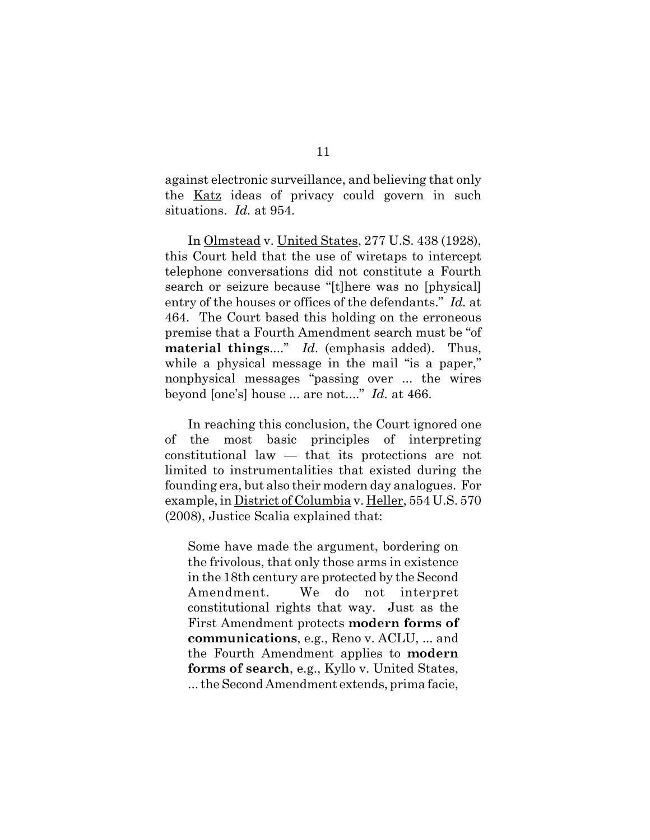against electronic surveillance, and believing that only the Katz ideas of privacy could govern in such situations. *Id.* at 954.

In Olmstead v. United States, 277 U.S. 438 (1928), this Court held that the use of wiretaps to intercept telephone conversations did not constitute a Fourth search or seizure because "[t]here was no [physical] entry of the houses or offices of the defendants." *Id.* at 464. The Court based this holding on the erroneous premise that a Fourth Amendment search must be "of **material things**...." *Id*. (emphasis added). Thus, while a physical message in the mail "is a paper," nonphysical messages "passing over ... the wires beyond [one's] house ... are not...." *Id.* at 466.

In reaching this conclusion, the Court ignored one of the most basic principles of interpreting constitutional law — that its protections are not limited to instrumentalities that existed during the founding era, but also their modern day analogues. For example, in District of Columbia v. Heller, 554 U.S. 570 (2008), Justice Scalia explained that:

Some have made the argument, bordering on the frivolous, that only those arms in existence in the 18th century are protected by the Second Amendment. We do not interpret constitutional rights that way. Just as the First Amendment protects **modern forms of communications**, e.g., Reno v. ACLU, ... and the Fourth Amendment applies to **modern forms of search**, e.g., Kyllo v. United States, ... the Second Amendment extends, prima facie,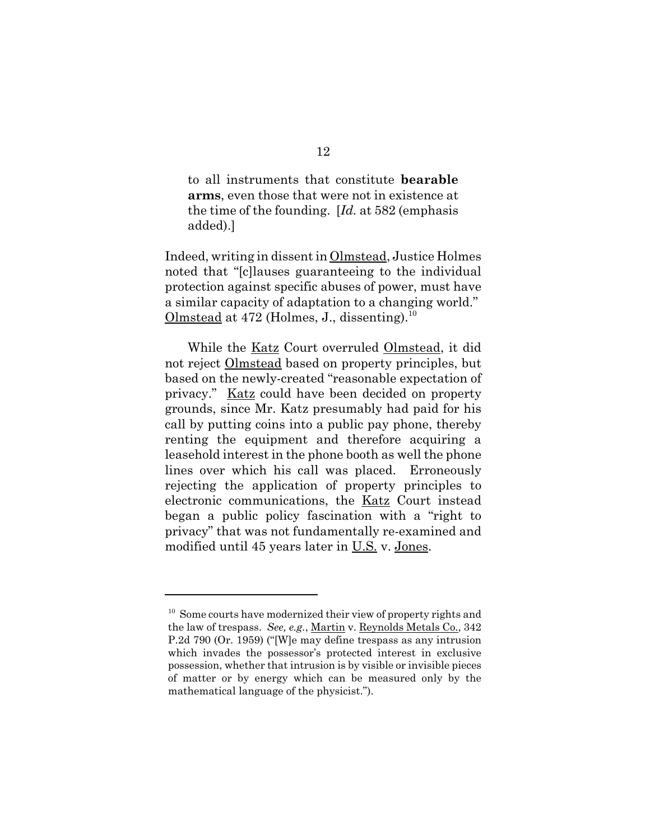to all instruments that constitute **bearable arms**, even those that were not in existence at the time of the founding. [*Id.* at 582 (emphasis added).]

Indeed, writing in dissent in Olmstead, Justice Holmes noted that "[c]lauses guaranteeing to the individual protection against specific abuses of power, must have a similar capacity of adaptation to a changing world." Olmstead at 472 (Holmes, J., dissenting).<sup>10</sup>

While the Katz Court overruled Olmstead, it did not reject Olmstead based on property principles, but based on the newly-created "reasonable expectation of privacy." Katz could have been decided on property grounds, since Mr. Katz presumably had paid for his call by putting coins into a public pay phone, thereby renting the equipment and therefore acquiring a leasehold interest in the phone booth as well the phone lines over which his call was placed. Erroneously rejecting the application of property principles to electronic communications, the Katz Court instead began a public policy fascination with a "right to privacy" that was not fundamentally re-examined and modified until 45 years later in U.S. v. Jones.

<sup>&</sup>lt;sup>10</sup> Some courts have modernized their view of property rights and the law of trespass. *See, e.g.*, Martin v. Reynolds Metals Co., 342 P.2d 790 (Or. 1959) ("[W]e may define trespass as any intrusion which invades the possessor's protected interest in exclusive possession, whether that intrusion is by visible or invisible pieces of matter or by energy which can be measured only by the mathematical language of the physicist.").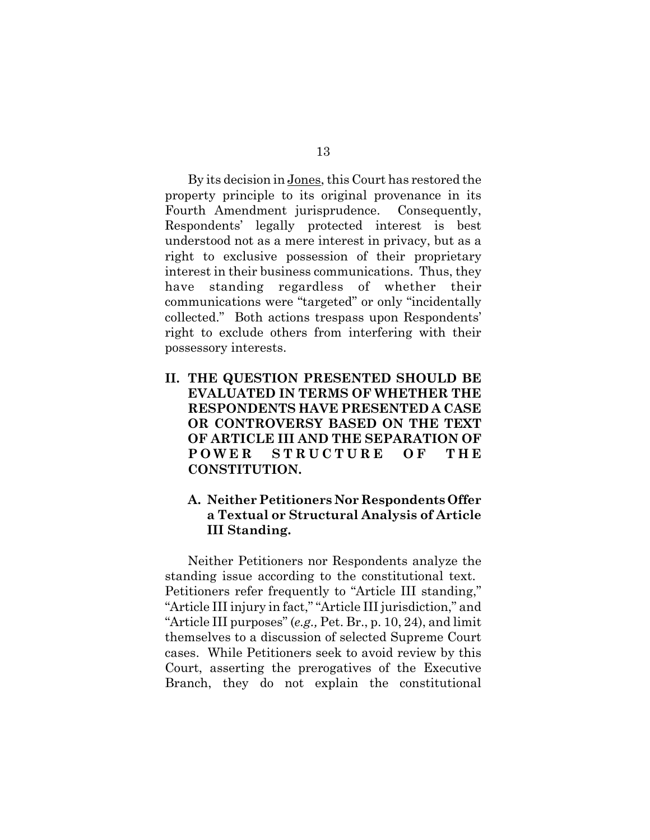By its decision in Jones, this Court has restored the property principle to its original provenance in its Fourth Amendment jurisprudence. Consequently, Respondents' legally protected interest is best understood not as a mere interest in privacy, but as a right to exclusive possession of their proprietary interest in their business communications. Thus, they have standing regardless of whether their communications were "targeted" or only "incidentally collected." Both actions trespass upon Respondents' right to exclude others from interfering with their possessory interests.

**II. THE QUESTION PRESENTED SHOULD BE EVALUATED IN TERMS OF WHETHER THE RESPONDENTS HAVE PRESENTED A CASE OR CONTROVERSY BASED ON THE TEXT OF ARTICLE III AND THE SEPARATION OF POWER STRUCTURE OF THE CONSTITUTION.**

## **A. Neither Petitioners Nor Respondents Offer a Textual or Structural Analysis of Article III Standing.**

Neither Petitioners nor Respondents analyze the standing issue according to the constitutional text. Petitioners refer frequently to "Article III standing," "Article III injury in fact," "Article III jurisdiction," and "Article III purposes" (*e.g.,* Pet. Br., p. 10, 24), and limit themselves to a discussion of selected Supreme Court cases. While Petitioners seek to avoid review by this Court, asserting the prerogatives of the Executive Branch, they do not explain the constitutional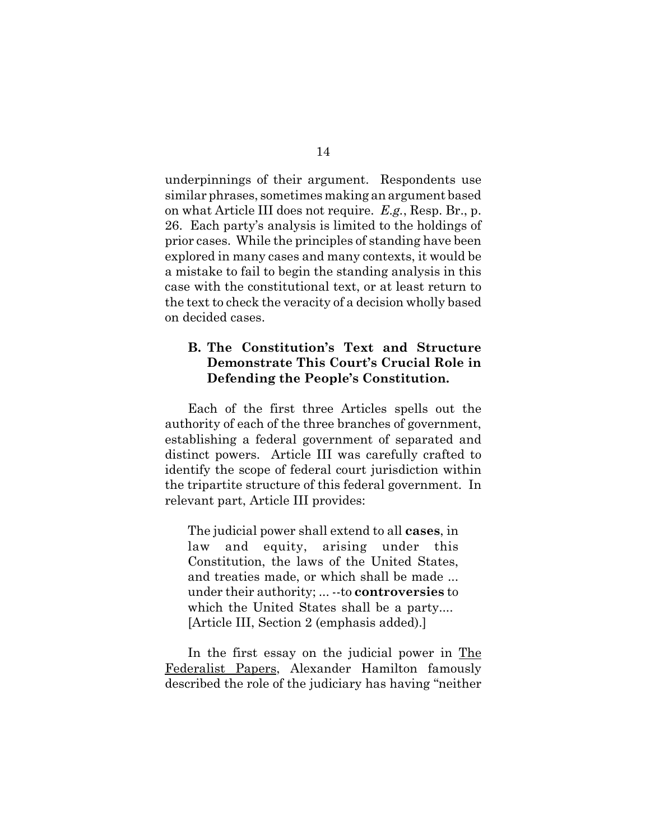underpinnings of their argument. Respondents use similar phrases, sometimes making an argument based on what Article III does not require. *E.g.*, Resp. Br., p. 26. Each party's analysis is limited to the holdings of prior cases. While the principles of standing have been explored in many cases and many contexts, it would be a mistake to fail to begin the standing analysis in this case with the constitutional text, or at least return to the text to check the veracity of a decision wholly based on decided cases.

## **B. The Constitution's Text and Structure Demonstrate This Court's Crucial Role in Defending the People's Constitution.**

Each of the first three Articles spells out the authority of each of the three branches of government, establishing a federal government of separated and distinct powers. Article III was carefully crafted to identify the scope of federal court jurisdiction within the tripartite structure of this federal government. In relevant part, Article III provides:

The judicial power shall extend to all **cases**, in law and equity, arising under this Constitution, the laws of the United States, and treaties made, or which shall be made ... under their authority; ... --to **controversies** to which the United States shall be a party.... [Article III, Section 2 (emphasis added).]

In the first essay on the judicial power in The Federalist Papers, Alexander Hamilton famously described the role of the judiciary has having "neither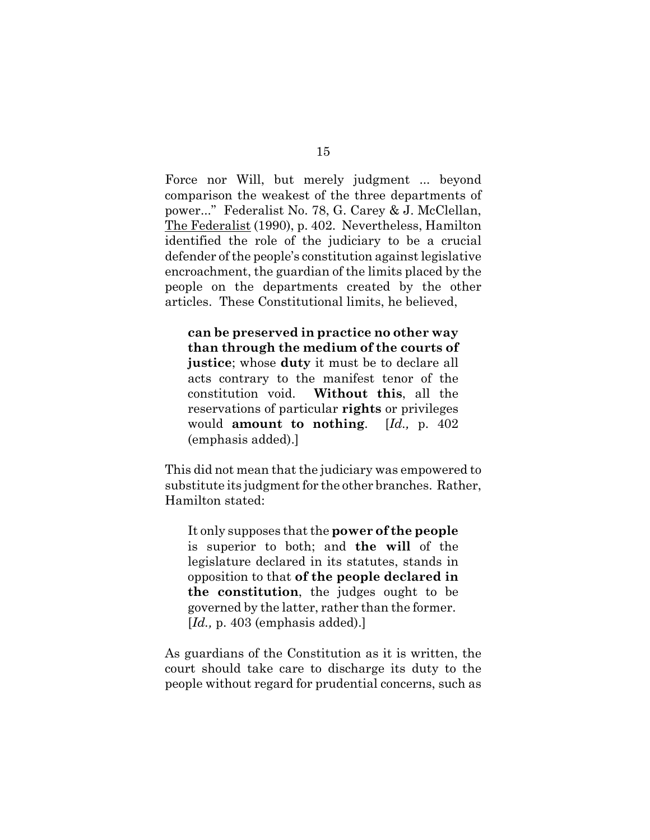Force nor Will, but merely judgment ... beyond comparison the weakest of the three departments of power..." Federalist No. 78, G. Carey & J. McClellan, The Federalist (1990), p. 402. Nevertheless, Hamilton identified the role of the judiciary to be a crucial defender of the people's constitution against legislative encroachment, the guardian of the limits placed by the people on the departments created by the other articles. These Constitutional limits, he believed,

**can be preserved in practice no other way than through the medium of the courts of justice**; whose **duty** it must be to declare all acts contrary to the manifest tenor of the constitution void. **Without this**, all the reservations of particular **rights** or privileges would **amount to nothing**. [*Id.,* p. 402 (emphasis added).]

This did not mean that the judiciary was empowered to substitute its judgment for the other branches. Rather, Hamilton stated:

It only supposes that the **power of the people** is superior to both; and **the will** of the legislature declared in its statutes, stands in opposition to that **of the people declared in the constitution**, the judges ought to be governed by the latter, rather than the former. [*Id.*, p. 403 (emphasis added).]

As guardians of the Constitution as it is written, the court should take care to discharge its duty to the people without regard for prudential concerns, such as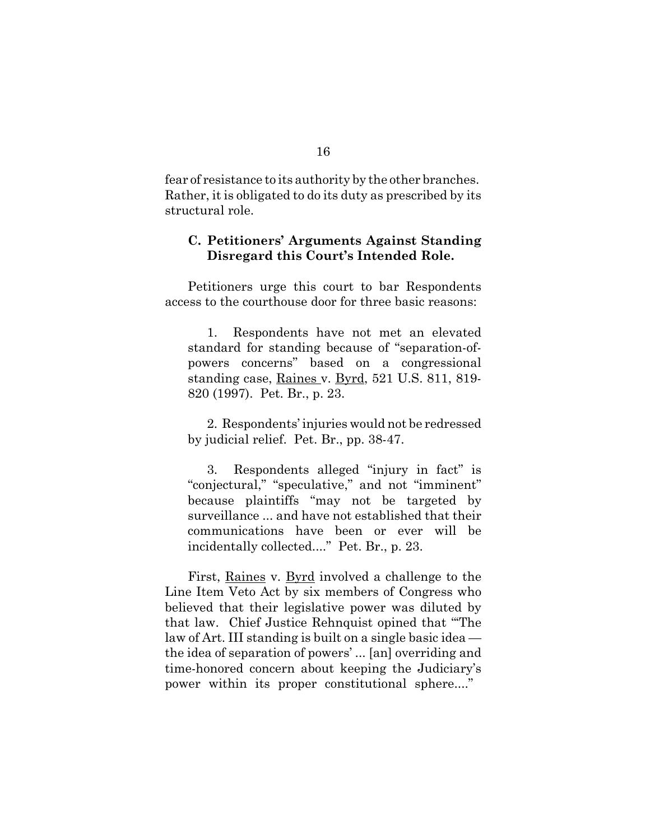fear of resistance to its authority by the other branches. Rather, it is obligated to do its duty as prescribed by its structural role.

#### **C. Petitioners' Arguments Against Standing Disregard this Court's Intended Role.**

Petitioners urge this court to bar Respondents access to the courthouse door for three basic reasons:

1. Respondents have not met an elevated standard for standing because of "separation-ofpowers concerns" based on a congressional standing case, Raines v. Byrd, 521 U.S. 811, 819-820 (1997). Pet. Br., p. 23.

2. Respondents' injuries would not be redressed by judicial relief. Pet. Br., pp. 38-47.

3. Respondents alleged "injury in fact" is "conjectural," "speculative," and not "imminent" because plaintiffs "may not be targeted by surveillance ... and have not established that their communications have been or ever will be incidentally collected...." Pet. Br., p. 23.

First, Raines v. Byrd involved a challenge to the Line Item Veto Act by six members of Congress who believed that their legislative power was diluted by that law. Chief Justice Rehnquist opined that "'The law of Art. III standing is built on a single basic idea the idea of separation of powers' ... [an] overriding and time-honored concern about keeping the Judiciary's power within its proper constitutional sphere...."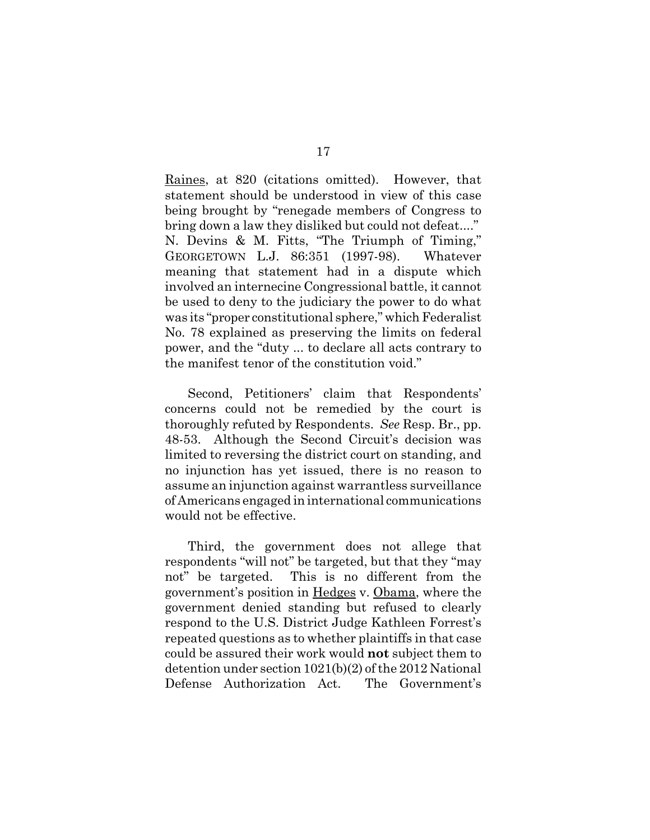Raines, at 820 (citations omitted). However, that statement should be understood in view of this case being brought by "renegade members of Congress to bring down a law they disliked but could not defeat...." N. Devins & M. Fitts, "The Triumph of Timing," GEORGETOWN L.J. 86:351 (1997-98). Whatever meaning that statement had in a dispute which involved an internecine Congressional battle, it cannot be used to deny to the judiciary the power to do what was its "proper constitutional sphere," which Federalist No. 78 explained as preserving the limits on federal power, and the "duty ... to declare all acts contrary to the manifest tenor of the constitution void."

Second, Petitioners' claim that Respondents' concerns could not be remedied by the court is thoroughly refuted by Respondents. *See* Resp. Br., pp. 48-53. Although the Second Circuit's decision was limited to reversing the district court on standing, and no injunction has yet issued, there is no reason to assume an injunction against warrantless surveillance of Americans engaged in international communications would not be effective.

Third, the government does not allege that respondents "will not" be targeted, but that they "may not" be targeted. This is no different from the government's position in Hedges v. Obama, where the government denied standing but refused to clearly respond to the U.S. District Judge Kathleen Forrest's repeated questions as to whether plaintiffs in that case could be assured their work would **not** subject them to detention under section 1021(b)(2) of the 2012 National Defense Authorization Act. The Government's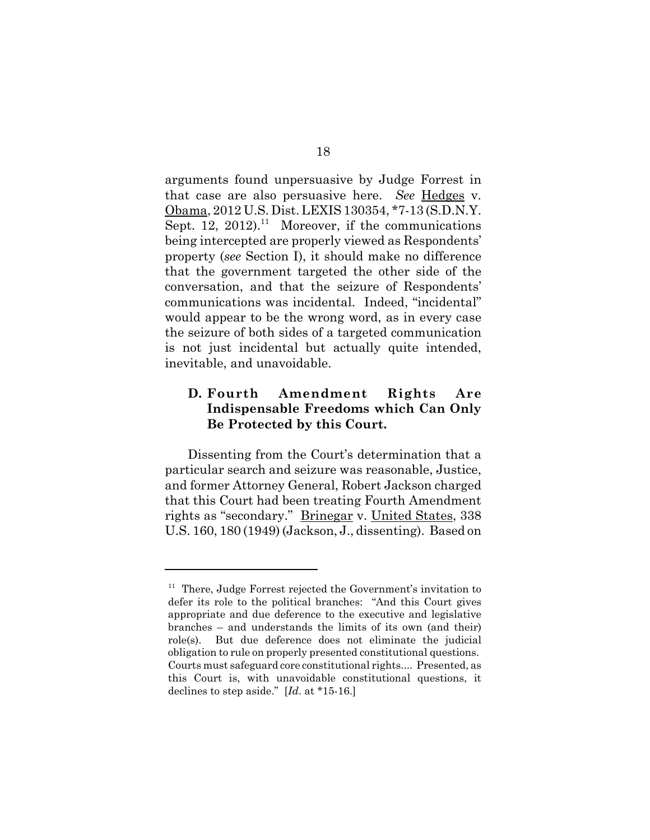arguments found unpersuasive by Judge Forrest in that case are also persuasive here. *See* Hedges v. Obama, 2012 U.S. Dist. LEXIS 130354, \*7-13 (S.D.N.Y. Sept. 12, 2012).<sup>11</sup> Moreover, if the communications being intercepted are properly viewed as Respondents' property (*see* Section I), it should make no difference that the government targeted the other side of the conversation, and that the seizure of Respondents' communications was incidental. Indeed, "incidental" would appear to be the wrong word, as in every case the seizure of both sides of a targeted communication is not just incidental but actually quite intended, inevitable, and unavoidable.

## **D. Fourth Amendment Rights Are Indispensable Freedoms which Can Only Be Protected by this Court.**

Dissenting from the Court's determination that a particular search and seizure was reasonable, Justice, and former Attorney General, Robert Jackson charged that this Court had been treating Fourth Amendment rights as "secondary." Brinegar v. United States, 338 U.S. 160, 180 (1949) (Jackson, J., dissenting). Based on

<sup>&</sup>lt;sup>11</sup> There, Judge Forrest rejected the Government's invitation to defer its role to the political branches: "And this Court gives appropriate and due deference to the executive and legislative branches – and understands the limits of its own (and their) role(s). But due deference does not eliminate the judicial obligation to rule on properly presented constitutional questions. Courts must safeguard core constitutional rights.... Presented, as this Court is, with unavoidable constitutional questions, it declines to step aside." [*Id*. at \*15-16.]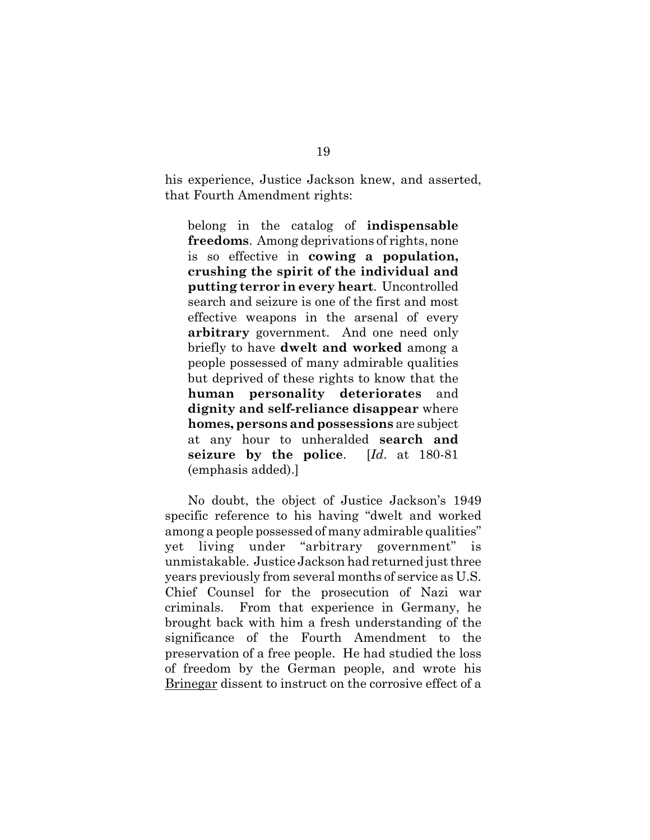his experience, Justice Jackson knew, and asserted, that Fourth Amendment rights:

belong in the catalog of **indispensable freedoms**. Among deprivations of rights, none is so effective in **cowing a population, crushing the spirit of the individual and putting terror in every heart**. Uncontrolled search and seizure is one of the first and most effective weapons in the arsenal of every **arbitrary** government. And one need only briefly to have **dwelt and worked** among a people possessed of many admirable qualities but deprived of these rights to know that the **human personality deteriorates** and **dignity and self-reliance disappear** where **homes, persons and possessions** are subject at any hour to unheralded **search and seizure by the police**. [*Id*. at 180-81 (emphasis added).]

No doubt, the object of Justice Jackson's 1949 specific reference to his having "dwelt and worked among a people possessed of many admirable qualities" yet living under "arbitrary government" is unmistakable. Justice Jackson had returned just three years previously from several months of service as U.S. Chief Counsel for the prosecution of Nazi war criminals. From that experience in Germany, he brought back with him a fresh understanding of the significance of the Fourth Amendment to the preservation of a free people. He had studied the loss of freedom by the German people, and wrote his Brinegar dissent to instruct on the corrosive effect of a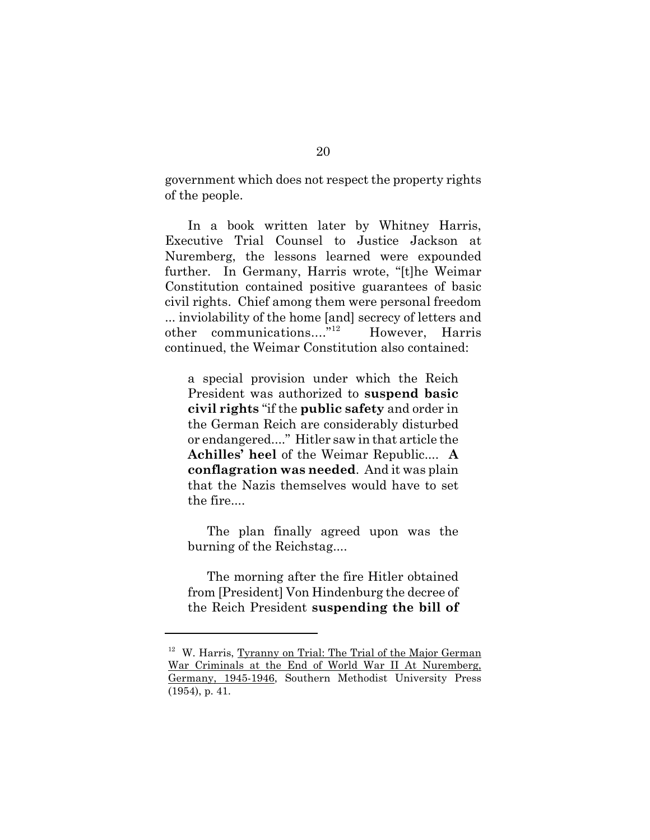government which does not respect the property rights of the people.

In a book written later by Whitney Harris, Executive Trial Counsel to Justice Jackson at Nuremberg, the lessons learned were expounded further. In Germany, Harris wrote, "[t]he Weimar Constitution contained positive guarantees of basic civil rights. Chief among them were personal freedom ... inviolability of the home [and] secrecy of letters and other communications...."<sup>12</sup> However, Harris continued, the Weimar Constitution also contained:

a special provision under which the Reich President was authorized to **suspend basic civil rights** "if the **public safety** and order in the German Reich are considerably disturbed or endangered...." Hitler saw in that article the **Achilles' heel** of the Weimar Republic.... **A conflagration was needed**. And it was plain that the Nazis themselves would have to set the fire....

The plan finally agreed upon was the burning of the Reichstag....

The morning after the fire Hitler obtained from [President] Von Hindenburg the decree of the Reich President **suspending the bill of**

<sup>&</sup>lt;sup>12</sup> W. Harris, Tyranny on Trial: The Trial of the Major German War Criminals at the End of World War II At Nuremberg, Germany, 1945-1946, Southern Methodist University Press (1954), p. 41.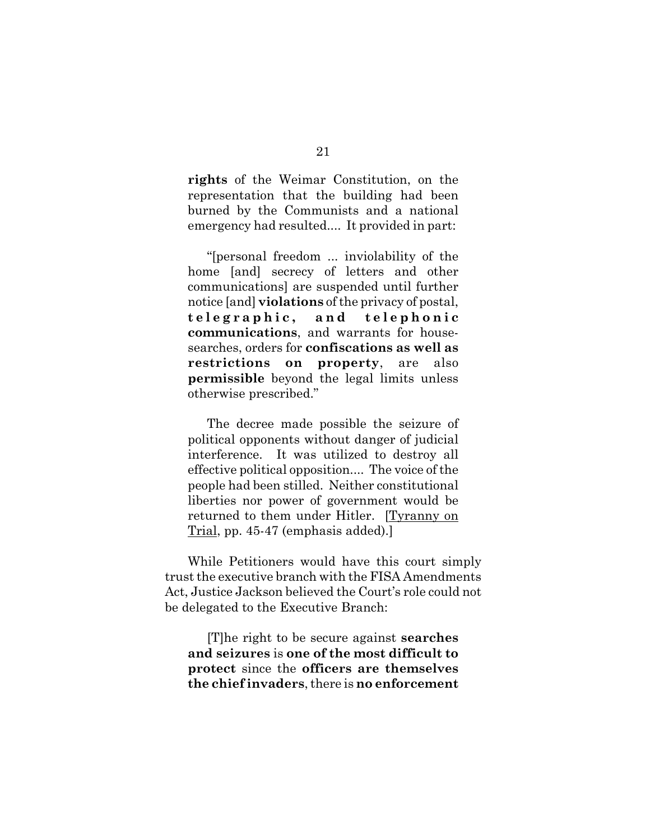**rights** of the Weimar Constitution, on the representation that the building had been burned by the Communists and a national emergency had resulted.... It provided in part:

"[personal freedom ... inviolability of the home [and] secrecy of letters and other communications] are suspended until further notice [and] **violations** of the privacy of postal, **telegraphic, and telephonic communications**, and warrants for housesearches, orders for **confiscations as well as restrictions on property**, are also **permissible** beyond the legal limits unless otherwise prescribed."

The decree made possible the seizure of political opponents without danger of judicial interference. It was utilized to destroy all effective political opposition.... The voice of the people had been stilled. Neither constitutional liberties nor power of government would be returned to them under Hitler. [Tyranny on Trial, pp. 45-47 (emphasis added).]

While Petitioners would have this court simply trust the executive branch with the FISA Amendments Act, Justice Jackson believed the Court's role could not be delegated to the Executive Branch:

[T]he right to be secure against **searches and seizures** is **one of the most difficult to protect** since the **officers are themselves the chief invaders**, there is **no enforcement**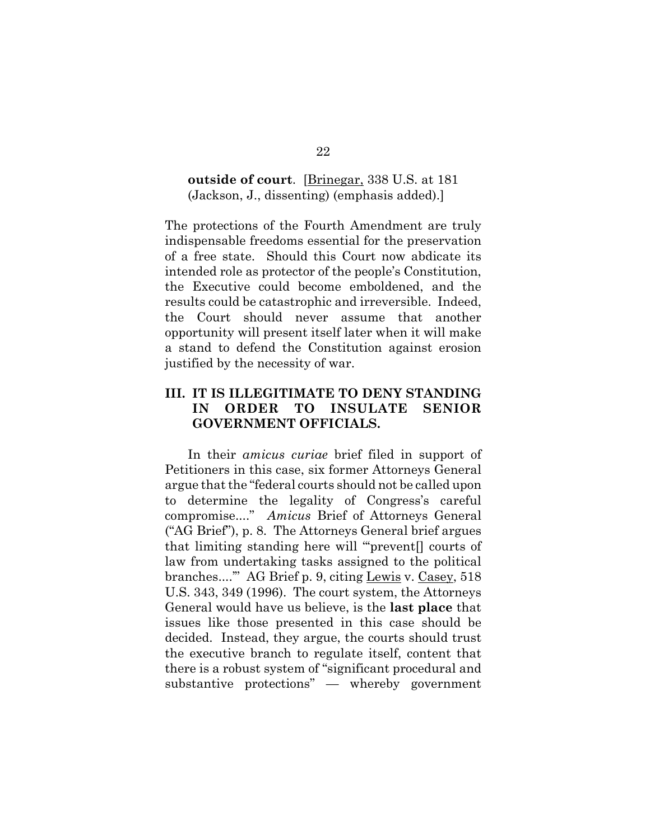## **outside of court**. [Brinegar, 338 U.S. at 181 (Jackson, J., dissenting) (emphasis added).]

The protections of the Fourth Amendment are truly indispensable freedoms essential for the preservation of a free state. Should this Court now abdicate its intended role as protector of the people's Constitution, the Executive could become emboldened, and the results could be catastrophic and irreversible. Indeed, the Court should never assume that another opportunity will present itself later when it will make a stand to defend the Constitution against erosion justified by the necessity of war.

## **III. IT IS ILLEGITIMATE TO DENY STANDING IN ORDER TO INSULATE SENIOR GOVERNMENT OFFICIALS.**

In their *amicus curiae* brief filed in support of Petitioners in this case, six former Attorneys General argue that the "federal courts should not be called upon to determine the legality of Congress's careful compromise...." *Amicus* Brief of Attorneys General ("AG Brief"), p. 8. The Attorneys General brief argues that limiting standing here will "'prevent[] courts of law from undertaking tasks assigned to the political branches...." AG Brief p. 9, citing Lewis v. Casey, 518 U.S. 343, 349 (1996). The court system, the Attorneys General would have us believe, is the **last place** that issues like those presented in this case should be decided. Instead, they argue, the courts should trust the executive branch to regulate itself, content that there is a robust system of "significant procedural and substantive protections" — whereby government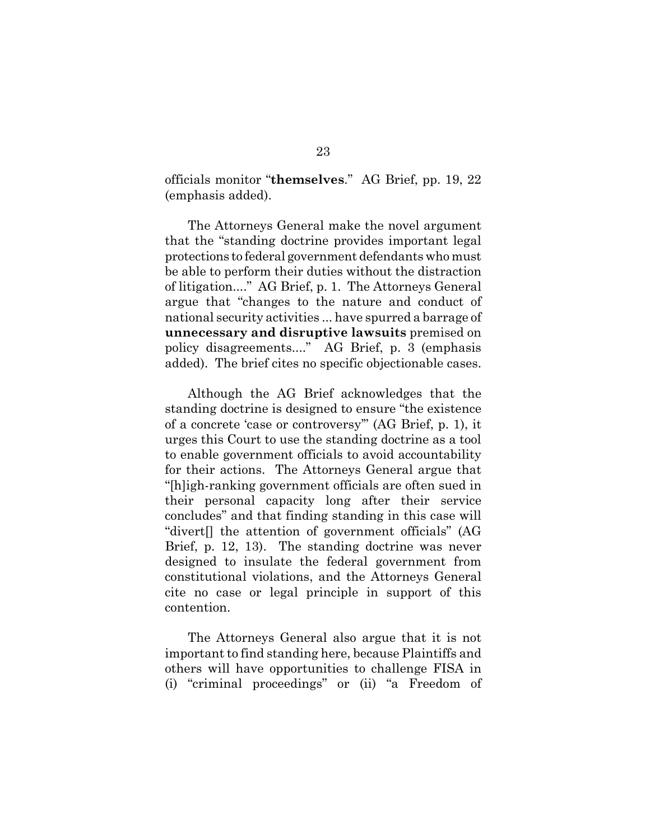officials monitor "**themselves**." AG Brief, pp. 19, 22 (emphasis added).

The Attorneys General make the novel argument that the "standing doctrine provides important legal protections to federal government defendants who must be able to perform their duties without the distraction of litigation...." AG Brief, p. 1. The Attorneys General argue that "changes to the nature and conduct of national security activities ... have spurred a barrage of **unnecessary and disruptive lawsuits** premised on policy disagreements...." AG Brief, p. 3 (emphasis added). The brief cites no specific objectionable cases.

Although the AG Brief acknowledges that the standing doctrine is designed to ensure "the existence of a concrete 'case or controversy'" (AG Brief, p. 1), it urges this Court to use the standing doctrine as a tool to enable government officials to avoid accountability for their actions. The Attorneys General argue that "[h]igh-ranking government officials are often sued in their personal capacity long after their service concludes" and that finding standing in this case will "divert[] the attention of government officials" (AG Brief, p. 12, 13). The standing doctrine was never designed to insulate the federal government from constitutional violations, and the Attorneys General cite no case or legal principle in support of this contention.

The Attorneys General also argue that it is not important to find standing here, because Plaintiffs and others will have opportunities to challenge FISA in (i) "criminal proceedings" or (ii) "a Freedom of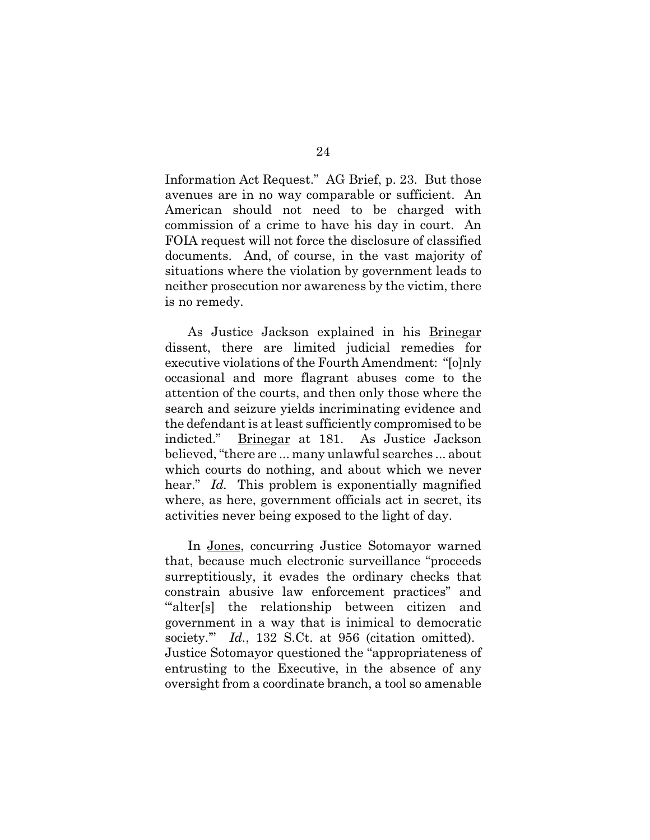Information Act Request." AG Brief, p. 23. But those avenues are in no way comparable or sufficient. An American should not need to be charged with commission of a crime to have his day in court. An FOIA request will not force the disclosure of classified documents. And, of course, in the vast majority of situations where the violation by government leads to neither prosecution nor awareness by the victim, there is no remedy.

As Justice Jackson explained in his Brinegar dissent, there are limited judicial remedies for executive violations of the Fourth Amendment: "[o]nly occasional and more flagrant abuses come to the attention of the courts, and then only those where the search and seizure yields incriminating evidence and the defendant is at least sufficiently compromised to be indicted." Brinegar at 181. As Justice Jackson believed, "there are ... many unlawful searches ... about which courts do nothing, and about which we never hear." *Id.* This problem is exponentially magnified where, as here, government officials act in secret, its activities never being exposed to the light of day.

In Jones, concurring Justice Sotomayor warned that, because much electronic surveillance "proceeds surreptitiously, it evades the ordinary checks that constrain abusive law enforcement practices" and "alter[s] the relationship between citizen and government in a way that is inimical to democratic society.'" *Id.*, 132 S.Ct. at 956 (citation omitted). Justice Sotomayor questioned the "appropriateness of entrusting to the Executive, in the absence of any oversight from a coordinate branch, a tool so amenable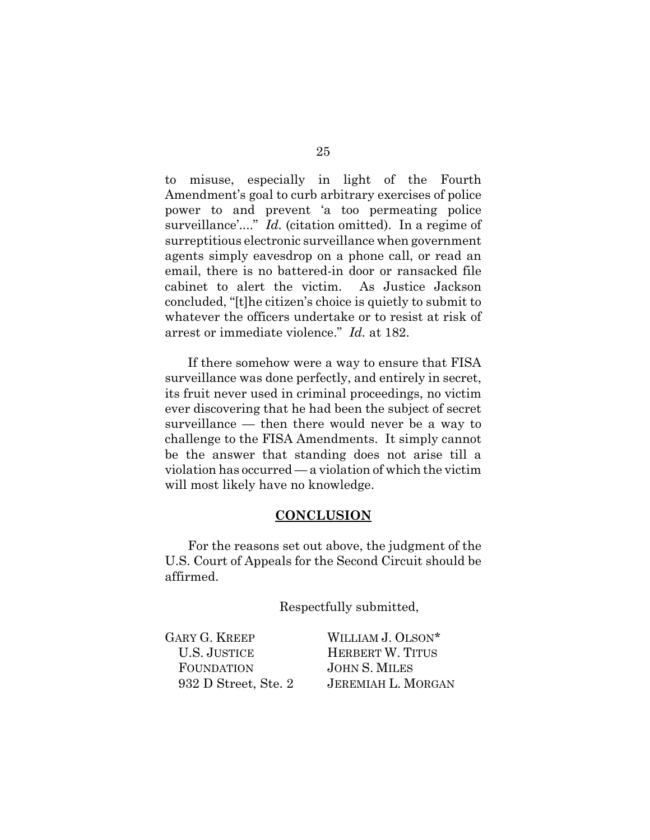to misuse, especially in light of the Fourth Amendment's goal to curb arbitrary exercises of police power to and prevent 'a too permeating police surveillance'...." *Id.* (citation omitted). In a regime of surreptitious electronic surveillance when government agents simply eavesdrop on a phone call, or read an email, there is no battered-in door or ransacked file cabinet to alert the victim. As Justice Jackson concluded, "[t]he citizen's choice is quietly to submit to whatever the officers undertake or to resist at risk of arrest or immediate violence." *Id.* at 182.

If there somehow were a way to ensure that FISA surveillance was done perfectly, and entirely in secret, its fruit never used in criminal proceedings, no victim ever discovering that he had been the subject of secret surveillance — then there would never be a way to challenge to the FISA Amendments. It simply cannot be the answer that standing does not arise till a violation has occurred — a violation of which the victim will most likely have no knowledge.

#### **CONCLUSION**

For the reasons set out above, the judgment of the U.S. Court of Appeals for the Second Circuit should be affirmed.

Respectfully submitted,

| <b>GARY G. KREEP</b> | WILLIAM J. OLSON*         |
|----------------------|---------------------------|
| <b>U.S. JUSTICE</b>  | HERBERT W. TITUS          |
| <b>FOUNDATION</b>    | <b>JOHN S. MILES</b>      |
| 932 D Street, Ste. 2 | <b>JEREMIAH L. MORGAN</b> |